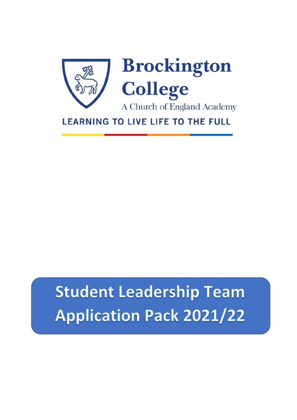



A Church of England Academy

**LEARNING TO LIVE LIFE TO THE FULL** 

# **Student Leadership Team Application Pack 2021/22**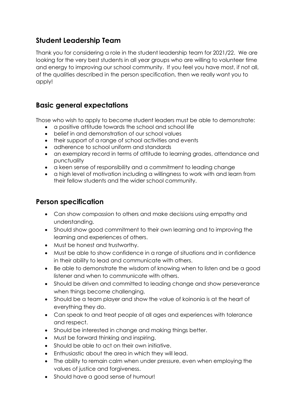#### **Student Leadership Team**

Thank you for considering a role in the student leadership team for 2021/22. We are looking for the very best students in all year groups who are willing to volunteer time and energy to improving our school community. If you feel you have most, if not all, of the qualities described in the person specification, then we really want you to apply!

## **Basic general expectations**

Those who wish to apply to become student leaders must be able to demonstrate:

- a positive attitude towards the school and school life
- belief in and demonstration of our school values
- their support of a range of school activities and events
- adherence to school uniform and standards
- an exemplary record in terms of attitude to learning grades, attendance and punctuality
- a keen sense of responsibility and a commitment to leading change
- a high level of motivation including a willingness to work with and learn from their fellow students and the wider school community.

#### **Person specification**

- Can show compassion to others and make decisions using empathy and understanding.
- Should show good commitment to their own learning and to improving the learning and experiences of others.
- Must be honest and trustworthy.
- Must be able to show confidence in a range of situations and in confidence in their ability to lead and communicate with others.
- Be able to demonstrate the wisdom of knowing when to listen and be a good listener and when to communicate with others.
- Should be driven and committed to leading change and show perseverance when things become challenging.
- Should be a team player and show the value of koinonia is at the heart of everything they do.
- Can speak to and treat people of all ages and experiences with tolerance and respect.
- Should be interested in change and making things better.
- Must be forward thinking and inspiring.
- Should be able to act on their own initiative.
- Enthusiastic about the area in which they will lead.
- The ability to remain calm when under pressure, even when employing the values of justice and forgiveness.
- Should have a good sense of humour!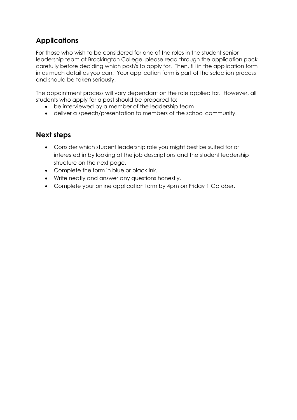### **Applications**

For those who wish to be considered for one of the roles in the student senior leadership team at Brockington College, please read through the application pack carefully before deciding which post/s to apply for. Then, fill in the application form in as much detail as you can. Your application form is part of the selection process and should be taken seriously.

The appointment process will vary dependant on the role applied for. However, all students who apply for a post should be prepared to:

- be interviewed by a member of the leadership team
- deliver a speech/presentation to members of the school community.

#### **Next steps**

- Consider which student leadership role you might best be suited for or interested in by looking at the job descriptions and the student leadership structure on the next page.
- Complete the form in blue or black ink.
- Write neatly and answer any questions honestly.
- Complete your online application form by 4pm on Friday 1 October.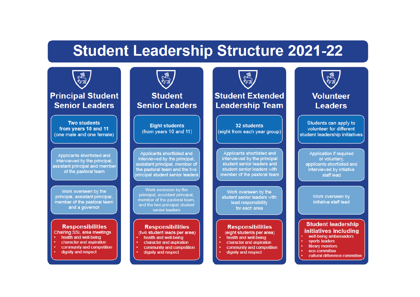## **Student Leadership Structure 2021-22**



## **Principal Student Senior Leaders**

**Two students** from years 10 and 11 (one male and one female)

Applicants shortlisted and interviewed by the principal, assistant principal and member of the pastoral team

Work overseen by the principal, assistant principal, member of the pastoral team and a governor

#### **Responsibilities Chairing SSL area meetings**

- health and well-being
- character and aspiration
- community and competition
- dignity and respect



**Student Senior Leaders** 

**Eight students** (from years 10 and 11)

Applicants shortlisted and interviewed by the principal, assistant principal, member of the pastoral team and the two principal student senior leaders

Work overseen by the principal, assistant principal, member of the pastoral team, and the two principal student senior leaders

#### **Responsibilities** (two student leads per area)

- health and well-being
- character and aspiration
- community and competition
- dignity and respect

## **Student Extended Leadership Team**

**Elle**<br>Artist

32 students (eight from each year group)

Applicants shortlisted and interviewed by the principal student senior leaders and student senior leaders with member of the pastoral team

Work overseen by the student senior leaders with lead responsibility for each area

#### **Responsibilities** (eight students per area)

- health and well-being
- character and aspiration
- community and competition
- dignity and respect



### **Volunteer Leaders**

Students can apply to volunteer for different student leadership initiatives

**Application if required** or voluntary, applicants shortlisted and interviewed by intiative staff lead

> Work overseen by initiative staff lead

#### **Student leadership** initiatives including well-being ambassadors

- sports leaders
- library monitors
- eco-committee
- cultural difference committee